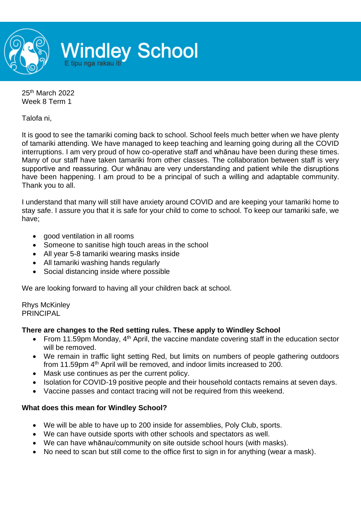

25th March 2022 Week 8 Term 1

Talofa ni,

It is good to see the tamariki coming back to school. School feels much better when we have plenty of tamariki attending. We have managed to keep teaching and learning going during all the COVID interruptions. I am very proud of how co-operative staff and whānau have been during these times. Many of our staff have taken tamariki from other classes. The collaboration between staff is very supportive and reassuring. Our whānau are very understanding and patient while the disruptions have been happening. I am proud to be a principal of such a willing and adaptable community. Thank you to all.

I understand that many will still have anxiety around COVID and are keeping your tamariki home to stay safe. I assure you that it is safe for your child to come to school. To keep our tamariki safe, we have;

- good ventilation in all rooms
- Someone to sanitise high touch areas in the school
- All year 5-8 tamariki wearing masks inside
- All tamariki washing hands regularly
- Social distancing inside where possible

We are looking forward to having all your children back at school.

Rhys McKinley PRINCIPAL

## **There are changes to the Red setting rules. These apply to Windley School**

- From 11.59pm Monday, 4<sup>th</sup> April, the vaccine mandate covering staff in the education sector will be removed.
- We remain in traffic light setting Red, but limits on numbers of people gathering outdoors from 11.59pm 4<sup>th</sup> April will be removed, and indoor limits increased to 200.
- Mask use continues as per the current policy.
- Isolation for COVID-19 positive people and their household contacts remains at seven days.
- Vaccine passes and contact tracing will not be required from this weekend.

## **What does this mean for Windley School?**

- We will be able to have up to 200 inside for assemblies, Poly Club, sports.
- We can have outside sports with other schools and spectators as well.
- We can have whānau/community on site outside school hours (with masks).
- No need to scan but still come to the office first to sign in for anything (wear a mask).